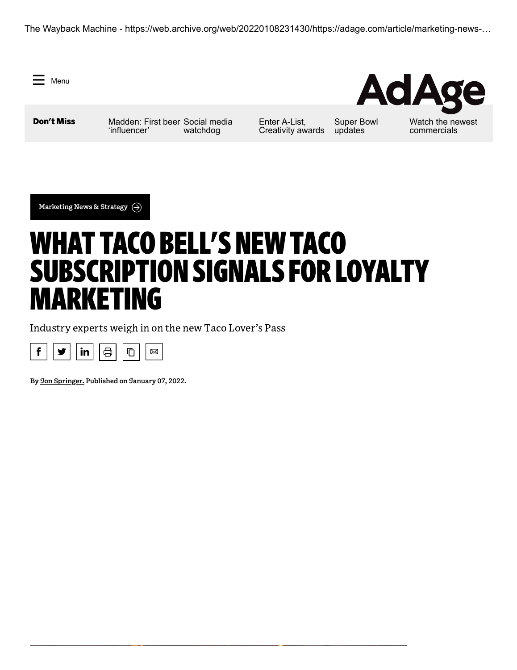The Wayback Machine - https://web.archive.org/web/20220108231430/https://adage.com/article/marketing-news-…

 $=$  Menu

Don't Miss [Madden: First beer](https://web.archive.org/web/20220108231430/https://adage.com/article/opinion/john-madden-was-first-beer-influencer/2391561) [Social media](https://web.archive.org/web/20220108231430/https://adage.com/article/digital-marketing-ad-tech-news/meta-controversies-spur-ana-consider-industry-social-media-watchdog/2391591) 'influencer' watchdog

Enter A-List, [Creativity awards](https://web.archive.org/web/20220108231430/https://adage.com/article/agency-news/ad-age-2022-list-and-creativity-awards-final-deadline-jan-11/2370916)

[Super Bowl](https://web.archive.org/web/20220108231430/https://adage.com/article/special-report-super-bowl/super-bowl-alert-what-we-know-so-far-about-2022-big-game-commercials/2391611) updates

[Watch the newest](https://web.archive.org/web/20220108231430/https://adage.com/article/hot-spots/watch-new-commercials-subaru-zola-frontier-communications/2391546) commercials

**AdAge** 

**[Marketing](https://web.archive.org/web/20220108231430/https://adage.com/section/marketing-news-strategy/319) News & Strategy**

# WHAT TACO BELL'S NEW TACO SUBSCRIPTION SIGNALS FOR LOYALTY MARKETING

Industry experts weigh in on the new Taco Lover's Pass



**By Jon [Springer](https://web.archive.org/web/20220108231430/https://adage.com/author/jon-springer/2375851). Published on January 07, 2022.**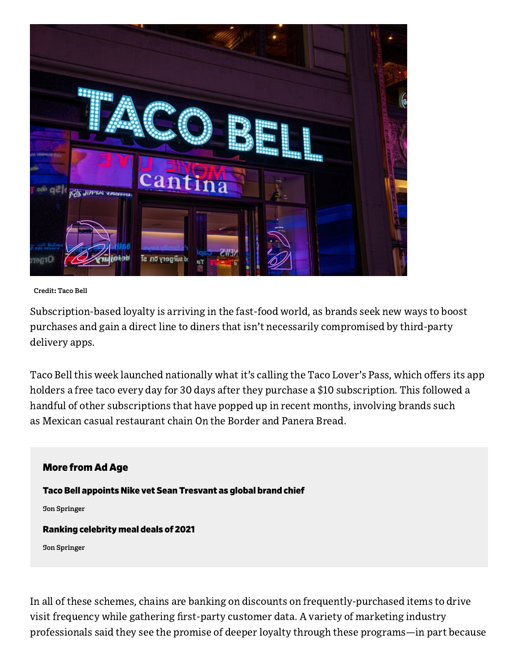

#### **Credit: Taco Bell**

Subscription-based loyalty is arriving in the fast-food world, as brands seek new ways to boost purchases and gain a direct line to diners that isn't necessarily compromised by third-party delivery apps.

Taco Bell this week launched nationally what it's calling the Taco Lover's Pass, which offers its app holders a free taco every day for 30 days after they purchase a \$10 subscription. This followed a handful of other subscriptions that have popped up in recent months, involving brands such as Mexican casual restaurant chain On the Border and Panera Bread.

### More from Ad Age

Taco Bell appoints Nike vet Sean [Tresvant](https://web.archive.org/web/20220108231430/https://adage.com/article/marketing-news-strategy/taco-bell-appoints-nike-vet-sean-tresvant-global-brand-chief/2384646) as global brand chief

**Jon [Springer](https://web.archive.org/web/20220108231430/https://adage.com/author/jon-springer/2375851)**

#### Ranking [celebrity](https://web.archive.org/web/20220108231430/https://adage.com/article/marketing-news-strategy/2021-review-ranking-celebrity-meal-deals/2388391) meal deals of 2021

**Jon [Springer](https://web.archive.org/web/20220108231430/https://adage.com/author/jon-springer/2375851)**

In all of these schemes, chains are banking on discounts on frequently-purchased items to drive visit frequency while gathering first-party customer data. A variety of marketing industry professionals said they see the promise of deeper loyalty through these programs—in part because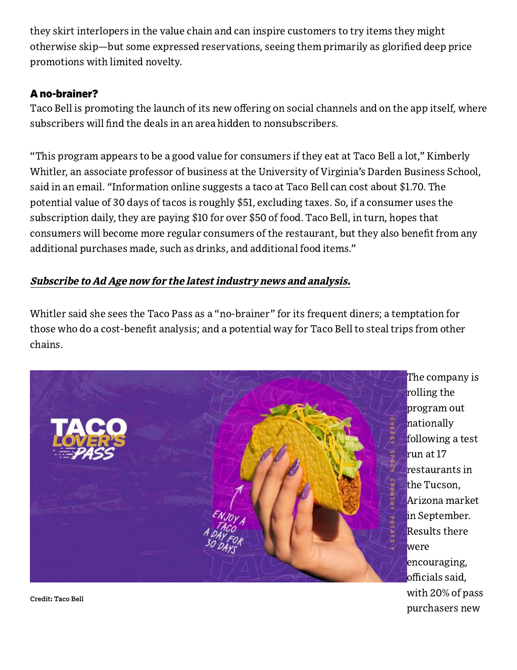they skirt interlopers in the value chain and can inspire customers to try items they might otherwise skip—but some expressed reservations, seeing them primarily as glorified deep price promotions with limited novelty.

## A no-brainer?

Taco Bell is promoting the launch of its new offering on social channels and on the app itself, where subscribers will find the deals in an area hidden to nonsubscribers.

"This program appears to be a good value for consumers if they eat at Taco Bell a lot," Kimberly Whitler, an associate professor of business at the University of Virginia's Darden Business School, said in an email. "Information online suggests a taco at Taco Bell can cost about \$1.70. The potential value of 30 days of tacos is roughly \$51, excluding taxes. So, if a consumer uses the subscription daily, they are paying \$10 for over \$50 of food. Taco Bell, in turn, hopes that consumers will become more regular consumers of the restaurant, but they also benefit from any additional purchases made, such as drinks, and additional food items."

## Subscribe to Ad Age now for the latest [industry](https://web.archive.org/web/20220108231430/http://www.adage.com/sub) news and analysis.

Whitler said she sees the Taco Pass as a "no-brainer" for its frequent diners; a temptation for those who do a cost-benefit analysis; and a potential way for Taco Bell to steal trips from other chains.



The company is rolling the program out nationally following a test run at 17 restaurants in the Tucson, Arizona market in September. Results there were encouraging, officials said, with 20% of pass purchasers new

**Credit: Taco Bell**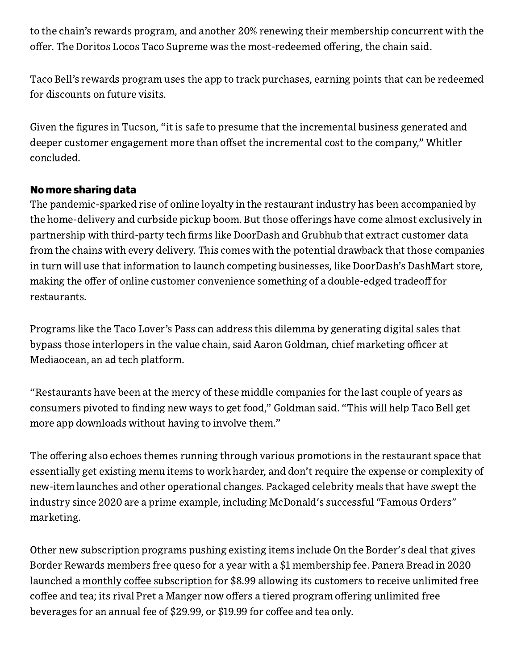to the chain's rewards program, and another 20% renewing their membership concurrent with the offer. The Doritos Locos Taco Supreme was the most-redeemed offering, the chain said.

Taco Bell's rewards program uses the app to track purchases, earning points that can be redeemed for discounts on future visits.

Given the figures in Tucson, "it is safe to presume that the incremental business generated and deeper customer engagement more than offset the incremental cost to the company," Whitler concluded.

## No more sharing data

The pandemic-sparked rise of online loyalty in the restaurant industry has been accompanied by the home-delivery and curbside pickup boom. But those offerings have come almost exclusively in partnership with third-party tech firms like DoorDash and Grubhub that extract customer data from the chains with every delivery. This comes with the potential drawback that those companies in turn will use that information to launch competing businesses, like DoorDash's DashMart store, making the offer of online customer convenience something of a double-edged tradeoff for restaurants.

Programs like the Taco Lover's Pass can address this dilemma by generating digital sales that bypass those interlopers in the value chain, said Aaron Goldman, chief marketing officer at Mediaocean, an ad tech platform.

"Restaurants have been at the mercy of these middle companies for the last couple of years as consumers pivoted to finding new ways to get food," Goldman said. "This will help Taco Bell get more app downloads without having to involve them."

The offering also echoes themes running through various promotions in the restaurant space that essentially get existing menu items to work harder, and don't require the expense or complexity of new-item launches and other operational changes. Packaged celebrity meals that have swept the industry since 2020 are a prime example, including McDonald's successful "Famous Orders" marketing.

Other new subscription programs pushing existing items include On the Border's deal that gives Border Rewards members free queso for a year with a \$1 membership fee. Panera Bread in 2020 launched a monthly coffee [subscription](https://web.archive.org/web/20220108231430/https://adage.com/article/cmo-strategy/panera-and-anomaly-part-ways-goodby-hired-project-basis/2243051) for \$8.99 allowing its customers to receive unlimited free coffee and tea; its rival Pret a Manger now offers a tiered program offering unlimited free beverages for an annual fee of \$29.99, or \$19.99 for coffee and tea only.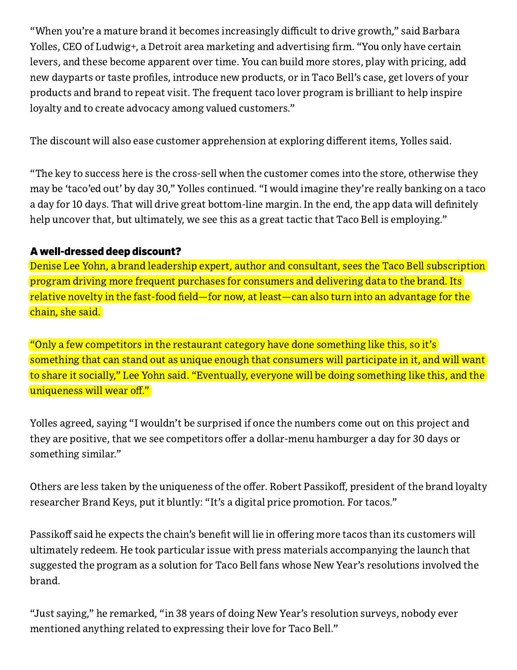"When you're a mature brand it becomes increasingly difficult to drive growth," said Barbara Yolles, CEO of Ludwig+, a Detroit area marketing and advertising firm. "You only have certain levers, and these become apparent over time. You can build more stores, play with pricing, add new dayparts or taste profiles, introduce new products, or in Taco Bell's case, get lovers of your products and brand to repeat visit. The frequent taco lover program is brilliant to help inspire loyalty and to create advocacy among valued customers."

The discount will also ease customer apprehension at exploring different items, Yolles said.

"The key to success here is the cross-sell when the customer comes into the store, otherwise they may be 'taco'ed out' by day 30," Yolles continued. "I would imagine they're really banking on a taco a day for 10 days. That will drive great bottom-line margin. In the end, the app data will definitely help uncover that, but ultimately, we see this as a great tactic that Taco Bell is employing."

## A well-dressed deep discount?

Denise Lee Yohn, a brand leadership expert, author and consultant, sees the Taco Bell subscription program driving more frequent purchases for consumers and delivering data to the brand. Its relative novelty in the fast-food field—for now, at least—can also turn into an advantage for the chain, she said.

"Only a few competitors in the restaurant category have done something like this, so it's something that can stand out as unique enough that consumers will participate in it, and will want to share it socially," Lee Yohn said. "Eventually, everyone will be doing something like this, and the uniqueness will wear off."

Yolles agreed, saying "I wouldn't be surprised if once the numbers come out on this project and they are positive, that we see competitors offer a dollar-menu hamburger a day for 30 days or something similar."

Others are less taken by the uniqueness of the offer. Robert Passikoff, president of the brand loyalty researcher Brand Keys, put it bluntly: "It's a digital price promotion. For tacos."

Passikoff said he expects the chain's benefit will lie in offering more tacos than its customers will ultimately redeem. He took particular issue with press materials accompanying the launch that suggested the program as a solution for Taco Bell fans whose New Year's resolutions involved the brand.

"Just saying," he remarked, "in 38 years of doing New Year's resolution surveys, nobody ever mentioned anything related to expressing their love for Taco Bell."